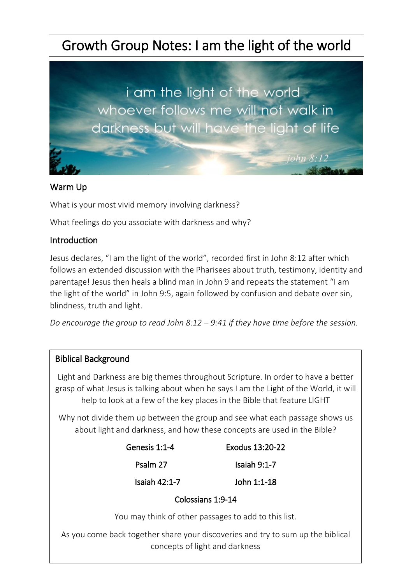# Growth Group Notes: I am the light of the world



## Warm Up

What is your most vivid memory involving darkness?

What feelings do you associate with darkness and why?

## **Introduction**

Jesus declares, "I am the light of the world", recorded first in John 8:12 after which follows an extended discussion with the Pharisees about truth, testimony, identity and parentage! Jesus then heals a blind man in John 9 and repeats the statement "I am the light of the world" in John 9:5, again followed by confusion and debate over sin, blindness, truth and light.

*Do encourage the group to read John 8:12 – 9:41 if they have time before the session.*

#### Biblical Background

Light and Darkness are big themes throughout Scripture. In order to have a better grasp of what Jesus is talking about when he says I am the Light of the World, it will help to look at a few of the key places in the Bible that feature LIGHT

Why not divide them up between the group and see what each passage shows us about light and darkness, and how these concepts are used in the Bible?

| Genesis 1:1-4   | Exodus 13:20-22 |
|-----------------|-----------------|
| Psalm 27        | Isaiah 9:1-7    |
| Isaiah $42:1-7$ | John 1:1-18     |

#### Colossians 1:9-14

You may think of other passages to add to this list.

As you come back together share your discoveries and try to sum up the biblical concepts of light and darkness